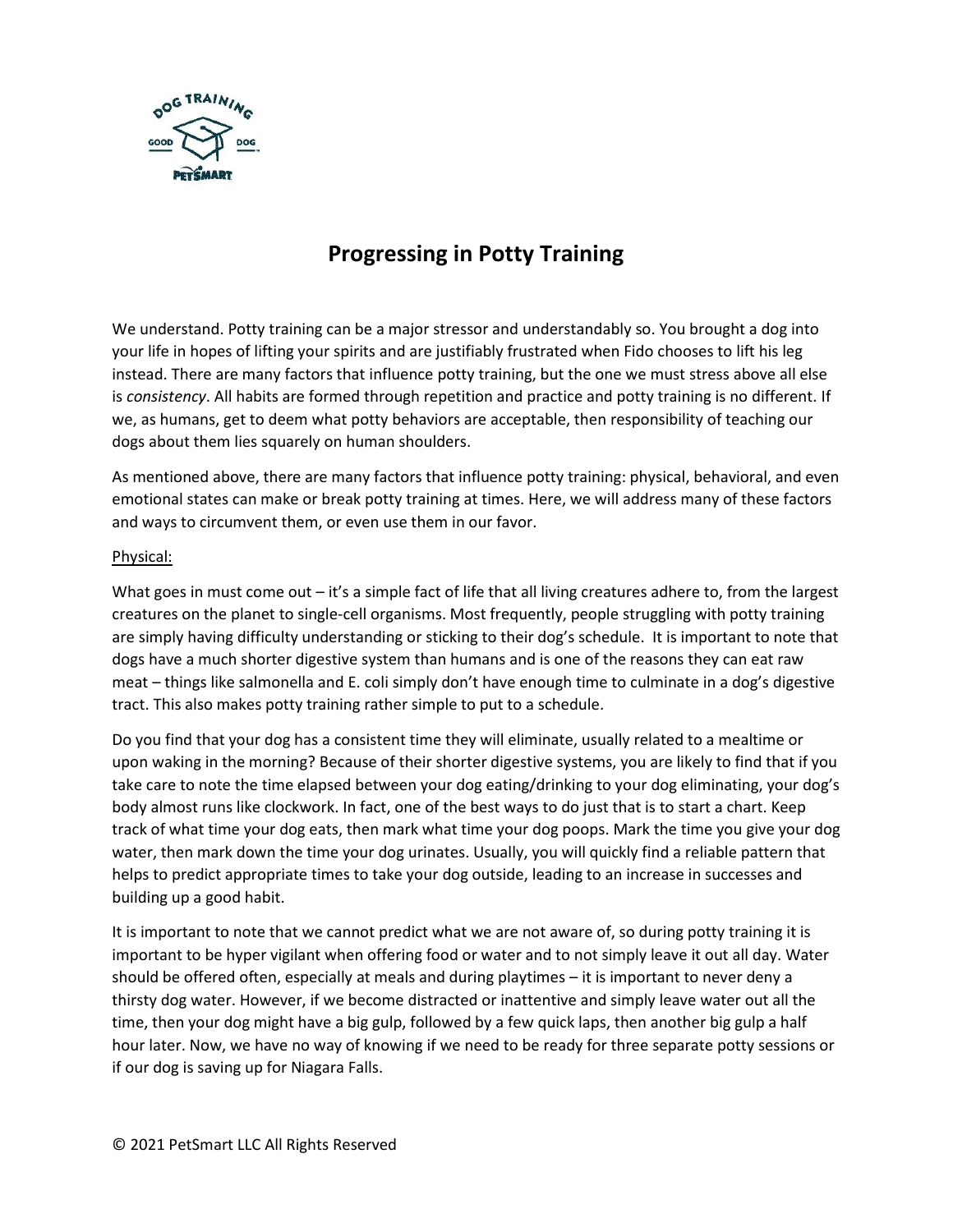

# **Progressing in Potty Training**

We understand. Potty training can be a major stressor and understandably so. You brought a dog into your life in hopes of lifting your spirits and are justifiably frustrated when Fido chooses to lift his leg instead. There are many factors that influence potty training, but the one we must stress above all else is *consistency*. All habits are formed through repetition and practice and potty training is no different. If we, as humans, get to deem what potty behaviors are acceptable, then responsibility of teaching our dogs about them lies squarely on human shoulders.

As mentioned above, there are many factors that influence potty training: physical, behavioral, and even emotional states can make or break potty training at times. Here, we will address many of these factors and ways to circumvent them, or even use them in our favor.

### Physical:

What goes in must come out – it's a simple fact of life that all living creatures adhere to, from the largest creatures on the planet to single-cell organisms. Most frequently, people struggling with potty training are simply having difficulty understanding or sticking to their dog's schedule. It is important to note that dogs have a much shorter digestive system than humans and is one of the reasons they can eat raw meat – things like salmonella and E. coli simply don't have enough time to culminate in a dog's digestive tract. This also makes potty training rather simple to put to a schedule.

Do you find that your dog has a consistent time they will eliminate, usually related to a mealtime or upon waking in the morning? Because of their shorter digestive systems, you are likely to find that if you take care to note the time elapsed between your dog eating/drinking to your dog eliminating, your dog's body almost runs like clockwork. In fact, one of the best ways to do just that is to start a chart. Keep track of what time your dog eats, then mark what time your dog poops. Mark the time you give your dog water, then mark down the time your dog urinates. Usually, you will quickly find a reliable pattern that helps to predict appropriate times to take your dog outside, leading to an increase in successes and building up a good habit.

It is important to note that we cannot predict what we are not aware of, so during potty training it is important to be hyper vigilant when offering food or water and to not simply leave it out all day. Water should be offered often, especially at meals and during playtimes – it is important to never deny a thirsty dog water. However, if we become distracted or inattentive and simply leave water out all the time, then your dog might have a big gulp, followed by a few quick laps, then another big gulp a half hour later. Now, we have no way of knowing if we need to be ready for three separate potty sessions or if our dog is saving up for Niagara Falls.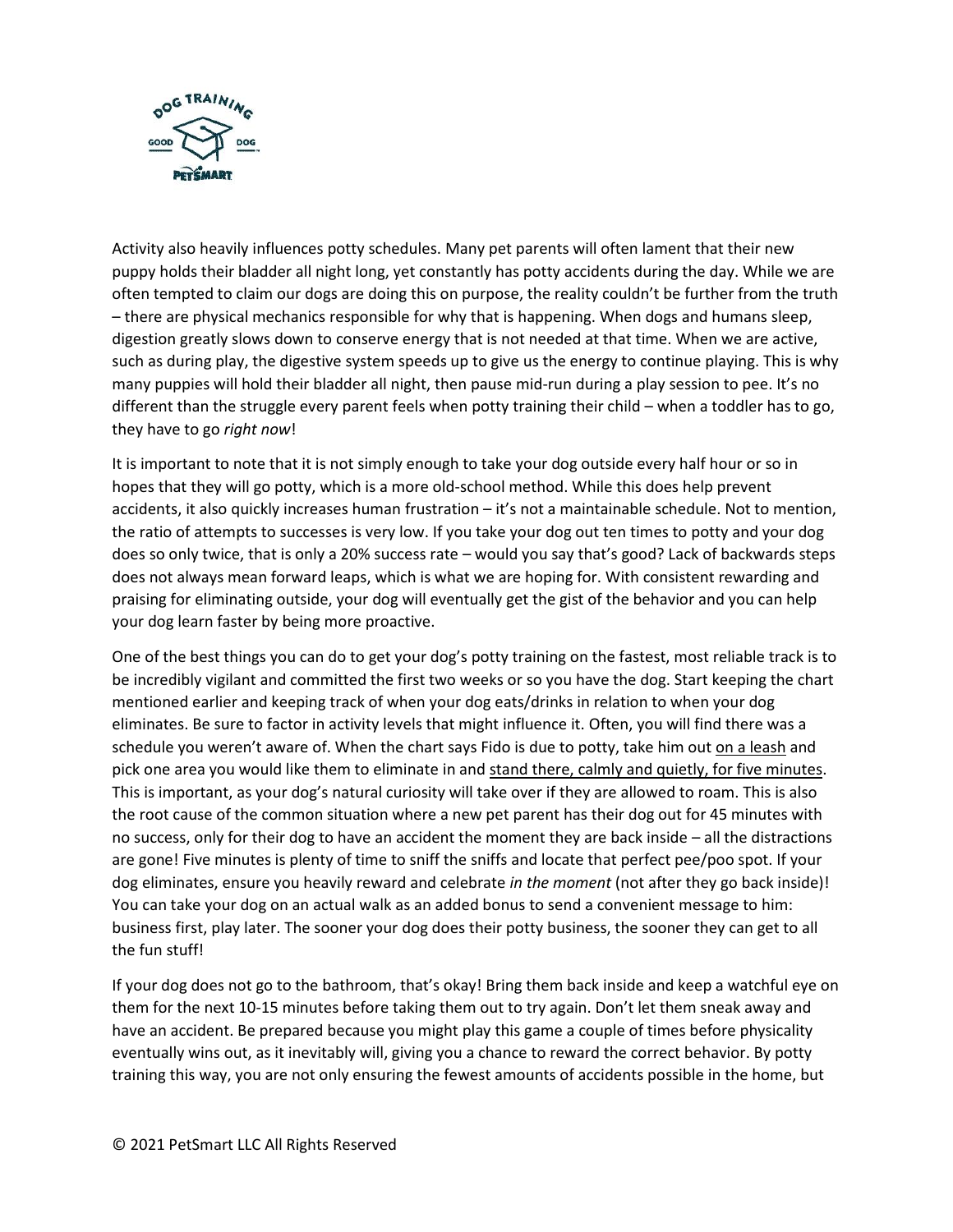

Activity also heavily influences potty schedules. Many pet parents will often lament that their new puppy holds their bladder all night long, yet constantly has potty accidents during the day. While we are often tempted to claim our dogs are doing this on purpose, the reality couldn't be further from the truth – there are physical mechanics responsible for why that is happening. When dogs and humans sleep, digestion greatly slows down to conserve energy that is not needed at that time. When we are active, such as during play, the digestive system speeds up to give us the energy to continue playing. This is why many puppies will hold their bladder all night, then pause mid-run during a play session to pee. It's no different than the struggle every parent feels when potty training their child – when a toddler has to go, they have to go *right now*!

It is important to note that it is not simply enough to take your dog outside every half hour or so in hopes that they will go potty, which is a more old-school method. While this does help prevent accidents, it also quickly increases human frustration – it's not a maintainable schedule. Not to mention, the ratio of attempts to successes is very low. If you take your dog out ten times to potty and your dog does so only twice, that is only a 20% success rate – would you say that's good? Lack of backwards steps does not always mean forward leaps, which is what we are hoping for. With consistent rewarding and praising for eliminating outside, your dog will eventually get the gist of the behavior and you can help your dog learn faster by being more proactive.

One of the best things you can do to get your dog's potty training on the fastest, most reliable track is to be incredibly vigilant and committed the first two weeks or so you have the dog. Start keeping the chart mentioned earlier and keeping track of when your dog eats/drinks in relation to when your dog eliminates. Be sure to factor in activity levels that might influence it. Often, you will find there was a schedule you weren't aware of. When the chart says Fido is due to potty, take him out on a leash and pick one area you would like them to eliminate in and stand there, calmly and quietly, for five minutes. This is important, as your dog's natural curiosity will take over if they are allowed to roam. This is also the root cause of the common situation where a new pet parent has their dog out for 45 minutes with no success, only for their dog to have an accident the moment they are back inside – all the distractions are gone! Five minutes is plenty of time to sniff the sniffs and locate that perfect pee/poo spot. If your dog eliminates, ensure you heavily reward and celebrate *in the moment* (not after they go back inside)! You can take your dog on an actual walk as an added bonus to send a convenient message to him: business first, play later. The sooner your dog does their potty business, the sooner they can get to all the fun stuff!

If your dog does not go to the bathroom, that's okay! Bring them back inside and keep a watchful eye on them for the next 10-15 minutes before taking them out to try again. Don't let them sneak away and have an accident. Be prepared because you might play this game a couple of times before physicality eventually wins out, as it inevitably will, giving you a chance to reward the correct behavior. By potty training this way, you are not only ensuring the fewest amounts of accidents possible in the home, but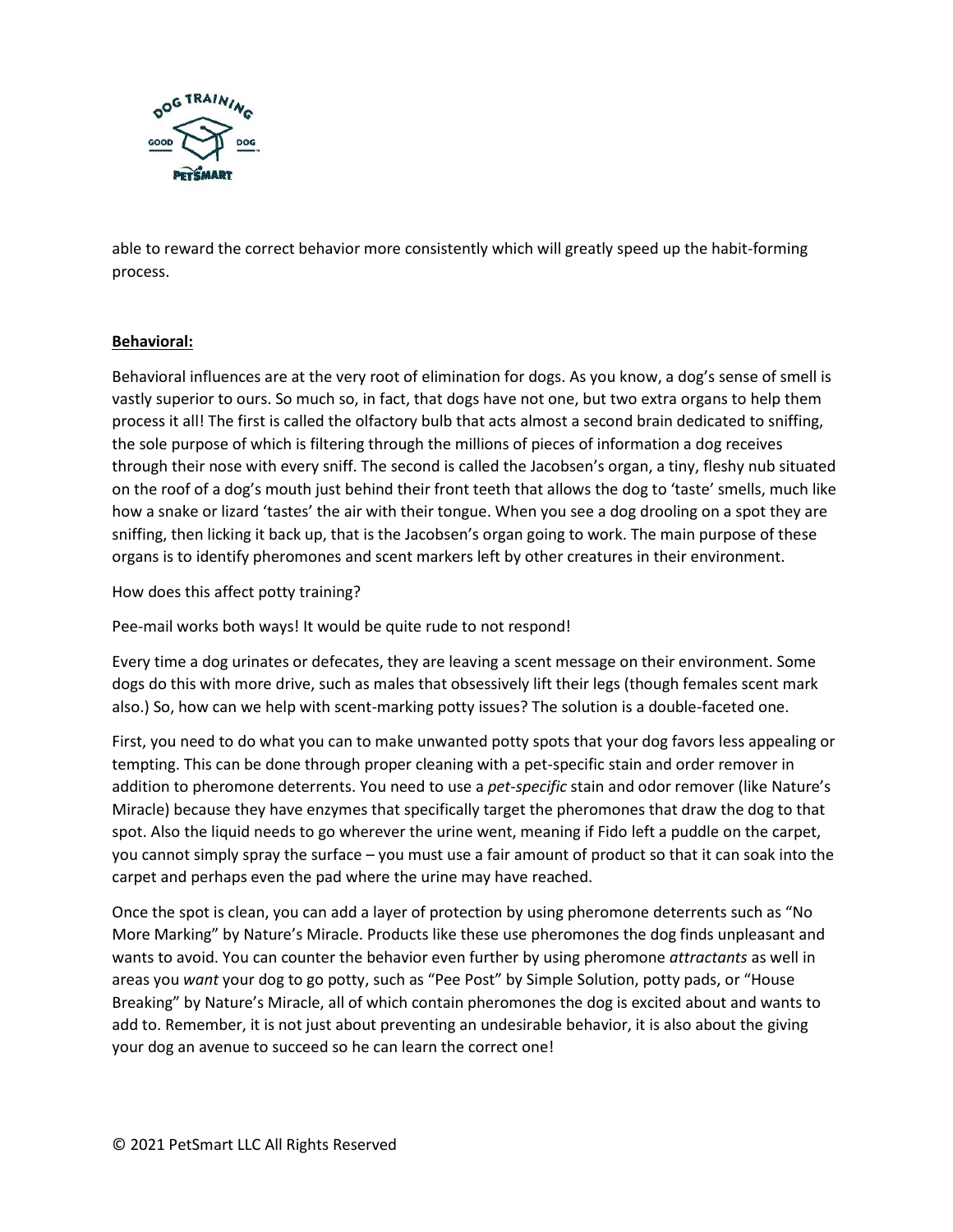

able to reward the correct behavior more consistently which will greatly speed up the habit-forming process.

# **Behavioral:**

Behavioral influences are at the very root of elimination for dogs. As you know, a dog's sense of smell is vastly superior to ours. So much so, in fact, that dogs have not one, but two extra organs to help them process it all! The first is called the olfactory bulb that acts almost a second brain dedicated to sniffing, the sole purpose of which is filtering through the millions of pieces of information a dog receives through their nose with every sniff. The second is called the Jacobsen's organ, a tiny, fleshy nub situated on the roof of a dog's mouth just behind their front teeth that allows the dog to 'taste' smells, much like how a snake or lizard 'tastes' the air with their tongue. When you see a dog drooling on a spot they are sniffing, then licking it back up, that is the Jacobsen's organ going to work. The main purpose of these organs is to identify pheromones and scent markers left by other creatures in their environment.

How does this affect potty training?

Pee-mail works both ways! It would be quite rude to not respond!

Every time a dog urinates or defecates, they are leaving a scent message on their environment. Some dogs do this with more drive, such as males that obsessively lift their legs (though females scent mark also.) So, how can we help with scent-marking potty issues? The solution is a double-faceted one.

First, you need to do what you can to make unwanted potty spots that your dog favors less appealing or tempting. This can be done through proper cleaning with a pet-specific stain and order remover in addition to pheromone deterrents. You need to use a *pet-specific* stain and odor remover (like Nature's Miracle) because they have enzymes that specifically target the pheromones that draw the dog to that spot. Also the liquid needs to go wherever the urine went, meaning if Fido left a puddle on the carpet, you cannot simply spray the surface – you must use a fair amount of product so that it can soak into the carpet and perhaps even the pad where the urine may have reached.

Once the spot is clean, you can add a layer of protection by using pheromone deterrents such as "No More Marking" by Nature's Miracle. Products like these use pheromones the dog finds unpleasant and wants to avoid. You can counter the behavior even further by using pheromone *attractants* as well in areas you *want* your dog to go potty, such as "Pee Post" by Simple Solution, potty pads, or "House Breaking" by Nature's Miracle, all of which contain pheromones the dog is excited about and wants to add to. Remember, it is not just about preventing an undesirable behavior, it is also about the giving your dog an avenue to succeed so he can learn the correct one!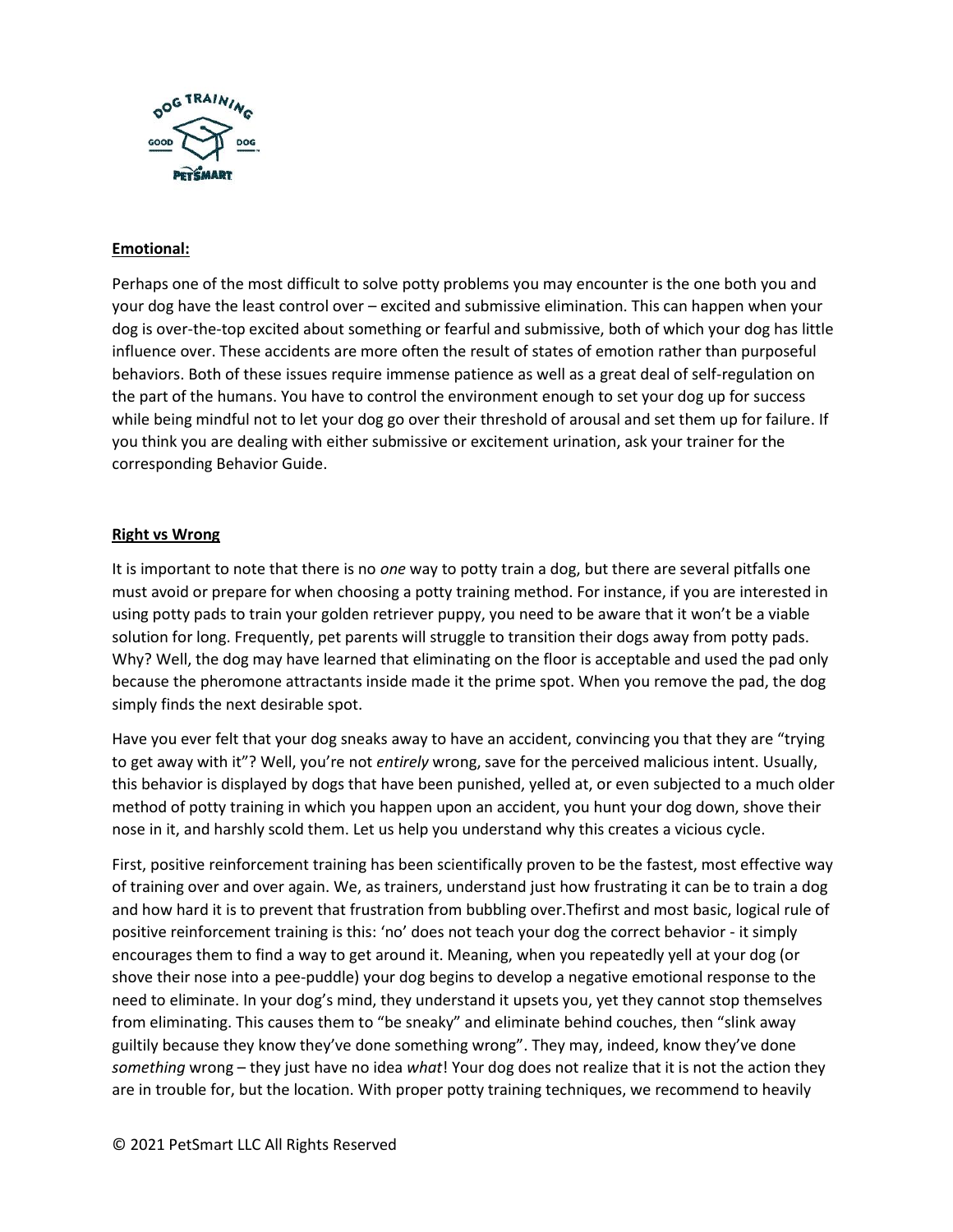

# **Emotional:**

Perhaps one of the most difficult to solve potty problems you may encounter is the one both you and your dog have the least control over – excited and submissive elimination. This can happen when your dog is over-the-top excited about something or fearful and submissive, both of which your dog has little influence over. These accidents are more often the result of states of emotion rather than purposeful behaviors. Both of these issues require immense patience as well as a great deal of self-regulation on the part of the humans. You have to control the environment enough to set your dog up for success while being mindful not to let your dog go over their threshold of arousal and set them up for failure. If you think you are dealing with either submissive or excitement urination, ask your trainer for the corresponding Behavior Guide.

### **Right vs Wrong**

It is important to note that there is no *one* way to potty train a dog, but there are several pitfalls one must avoid or prepare for when choosing a potty training method. For instance, if you are interested in using potty pads to train your golden retriever puppy, you need to be aware that it won't be a viable solution for long. Frequently, pet parents will struggle to transition their dogs away from potty pads. Why? Well, the dog may have learned that eliminating on the floor is acceptable and used the pad only because the pheromone attractants inside made it the prime spot. When you remove the pad, the dog simply finds the next desirable spot.

Have you ever felt that your dog sneaks away to have an accident, convincing you that they are "trying to get away with it"? Well, you're not *entirely* wrong, save for the perceived malicious intent. Usually, this behavior is displayed by dogs that have been punished, yelled at, or even subjected to a much older method of potty training in which you happen upon an accident, you hunt your dog down, shove their nose in it, and harshly scold them. Let us help you understand why this creates a vicious cycle.

First, positive reinforcement training has been scientifically proven to be the fastest, most effective way of training over and over again. We, as trainers, understand just how frustrating it can be to train a dog and how hard it is to prevent that frustration from bubbling over.Thefirst and most basic, logical rule of positive reinforcement training is this: 'no' does not teach your dog the correct behavior - it simply encourages them to find a way to get around it. Meaning, when you repeatedly yell at your dog (or shove their nose into a pee-puddle) your dog begins to develop a negative emotional response to the need to eliminate. In your dog's mind, they understand it upsets you, yet they cannot stop themselves from eliminating. This causes them to "be sneaky" and eliminate behind couches, then "slink away guiltily because they know they've done something wrong". They may, indeed, know they've done *something* wrong – they just have no idea *what*! Your dog does not realize that it is not the action they are in trouble for, but the location. With proper potty training techniques, we recommend to heavily